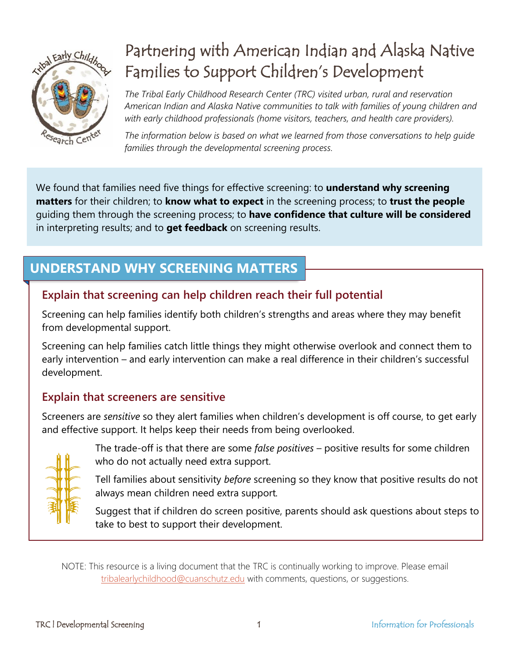

# Partnering with American Indian and Alaska Native Families to Support Children's Development

*The Tribal Early Childhood Research Center (TRC) visited urban, rural and reservation American Indian and Alaska Native communities to talk with families of young children and with early childhood professionals (home visitors, teachers, and health care providers).*

*The information below is based on what we learned from those conversations to help guide families through the developmental screening process.*

We found that families need five things for effective screening: to **understand why screening matters** for their children; to **know what to expect** in the screening process; to **trust the people** guiding them through the screening process; to **have confidence that culture will be considered** in interpreting results; and to **get feedback** on screening results.

# **UNDERSTAND WHY SCREENING MATTERS**

### **Explain that screening can help children reach their full potential**

Screening can help families identify both children's strengths and areas where they may benefit from developmental support.

Screening can help families catch little things they might otherwise overlook and connect them to early intervention – and early intervention can make a real difference in their children's successful development.

### **Explain that screeners are sensitive**

Screeners are *sensitive* so they alert families when children's development is off course, to get early and effective support. It helps keep their needs from being overlooked.



The trade-off is that there are some *false positives* – positive results for some children who do not actually need extra support.

Tell families about sensitivity *before* screening so they know that positive results do not always mean children need extra support*.*

Suggest that if children do screen positive, parents should ask questions about steps to take to best to support their development.

NOTE: This resource is a living document that the TRC is continually working to improve. Please email [tribalearlychildhood@cuanschutz.edu](mailto:tribalearlychildhood@cuanschutz.edu?subject=Partnering%20with%20AI/AN%20Families%20to%20Support%20Children) with comments, questions, or suggestions.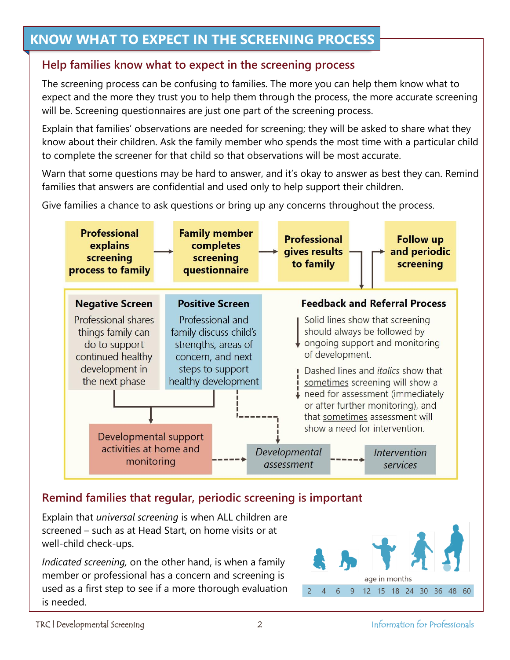### **KNOW WHAT TO EXPECT IN THE SCREENING PROCESS**

#### **Help families know what to expect in the screening process**

The screening process can be confusing to families. The more you can help them know what to expect and the more they trust you to help them through the process, the more accurate screening will be. Screening questionnaires are just one part of the screening process.

Explain that families' observations are needed for screening; they will be asked to share what they know about their children. Ask the family member who spends the most time with a particular child to complete the screener for that child so that observations will be most accurate.

Warn that some questions may be hard to answer, and it's okay to answer as best they can. Remind families that answers are confidential and used only to help support their children.

Give families a chance to ask questions or bring up any concerns throughout the process.



#### **Remind families that regular, periodic screening is important**

Explain that *universal screening* is when ALL children are screened – such as at Head Start, on home visits or at well-child check-ups.

*Indicated screening,* on the other hand, is when a family member or professional has a concern and screening is used as a first step to see if a more thorough evaluation is needed.

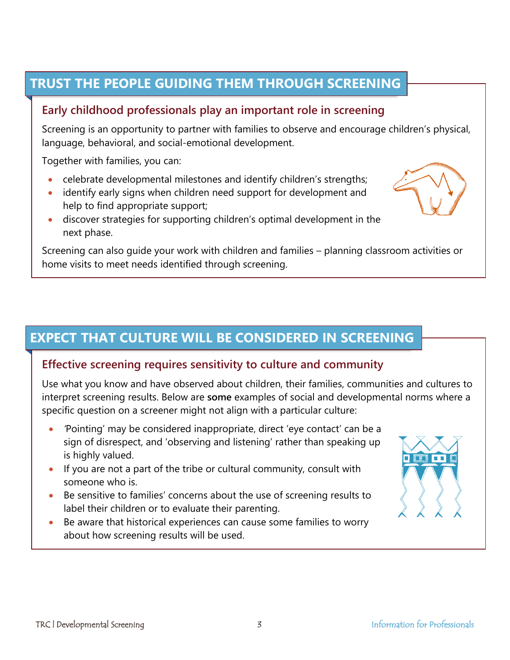### **TRUST THE PEOPLE GUIDING THEM THROUGH SCREENING**

#### **Early childhood professionals play an important role in screening**

Screening is an opportunity to partner with families to observe and encourage children's physical, language, behavioral, and social-emotional development.

Together with families, you can:

- celebrate developmental milestones and identify children's strengths;
- identify early signs when children need support for development and help to find appropriate support;
- discover strategies for supporting children's optimal development in the next phase.

Screening can also guide your work with children and families – planning classroom activities or home visits to meet needs identified through screening.

### **EXPECT THAT CULTURE WILL BE CONSIDERED IN SCREENING**

#### **Effective screening requires sensitivity to culture and community**

Use what you know and have observed about children, their families, communities and cultures to interpret screening results. Below are **some** examples of social and developmental norms where a specific question on a screener might not align with a particular culture:

- *'*Pointing' may be considered inappropriate, direct 'eye contact' can be a sign of disrespect, and 'observing and listening' rather than speaking up is highly valued.
- If you are not a part of the tribe or cultural community, consult with someone who is.
- Be sensitive to families' concerns about the use of screening results to label their children or to evaluate their parenting.
- Be aware that historical experiences can cause some families to worry about how screening results will be used.